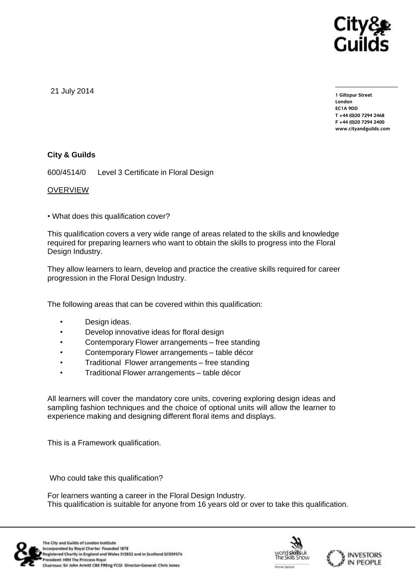

21 July 2014

**1 Giltspur Street EC1A 9DD** T +44 (0)20 7294 2468 **T +44 (0)20 7294 246[8](http://www.cityandguilds.com/) F +44** (1)<br>Example: altreadernikle ee **[www.cityandguilds.com](http://www.cityandguilds.com/)**

# **City & Guilds**

600/4514/0 Level 3 Certificate in Floral Design

## OVERVIEW

• What does this qualification cover?

This qualification covers a very wide range of areas related to the skills and knowledge required for preparing learners who want to obtain the skills to progress into the Floral Design Industry.

They allow learners to learn, develop and practice the creative skills required for career progression in the Floral Design Industry.

The following areas that can be covered within this qualification:

- Design ideas.
- Develop innovative ideas for floral design
- Contemporary Flower arrangements free standing
- Contemporary Flower arrangements table décor
- Traditional Flower arrangements free standing
- Traditional Flower arrangements table décor

All learners will cover the mandatory core units, covering exploring design ideas and sampling fashion techniques and the choice of optional units will allow the learner to experience making and designing different floral items and displays.

This is a Framework qualification.

Who could take this qualification?

For learners wanting a career in the Floral Design Industry. This qualification is suitable for anyone from 16 years old or over to take this qualification.